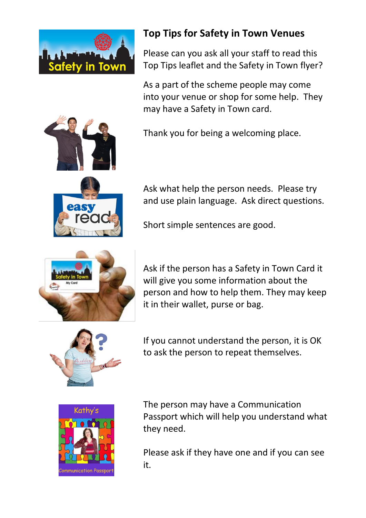



Please can you ask all your staff to read this Top Tips leaflet and the Safety in Town flyer?

As a part of the scheme people may come into your venue or shop for some help. They may have a Safety in Town card.

Thank you for being a welcoming place.



Ask what help the person needs. Please try and use plain language. Ask direct questions.

Short simple sentences are good.



Ask if the person has a Safety in Town Card it will give you some information about the person and how to help them. They may keep it in their wallet, purse or bag.



If you cannot understand the person, it is OK to ask the person to repeat themselves.



The person may have a Communication Passport which will help you understand what they need.

Please ask if they have one and if you can see it.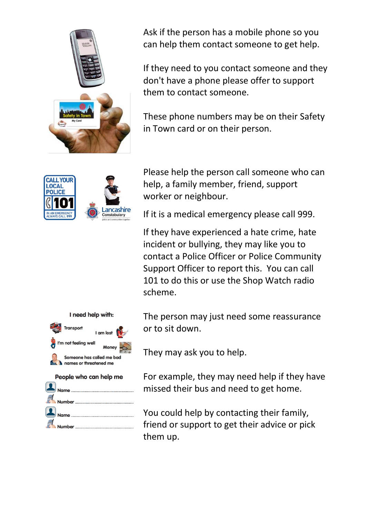

Ask if the person has a mobile phone so you can help them contact someone to get help.

If they need to you contact someone and they don't have a phone please offer to support them to contact someone.

These phone numbers may be on their Safety in Town card or on their person.



Please help the person call someone who can help, a family member, friend, support worker or neighbour.

If it is a medical emergency please call 999.

If they have experienced a hate crime, hate incident or bullying, they may like you to contact a Police Officer or Police Community Support Officer to report this. You can call 101 to do this or use the Shop Watch radio scheme.

The person may just need some reassurance or to sit down.

They may ask you to help.

For example, they may need help if they have missed their bus and need to get home.

You could help by contacting their family, friend or support to get their advice or pick them up.



**Number**